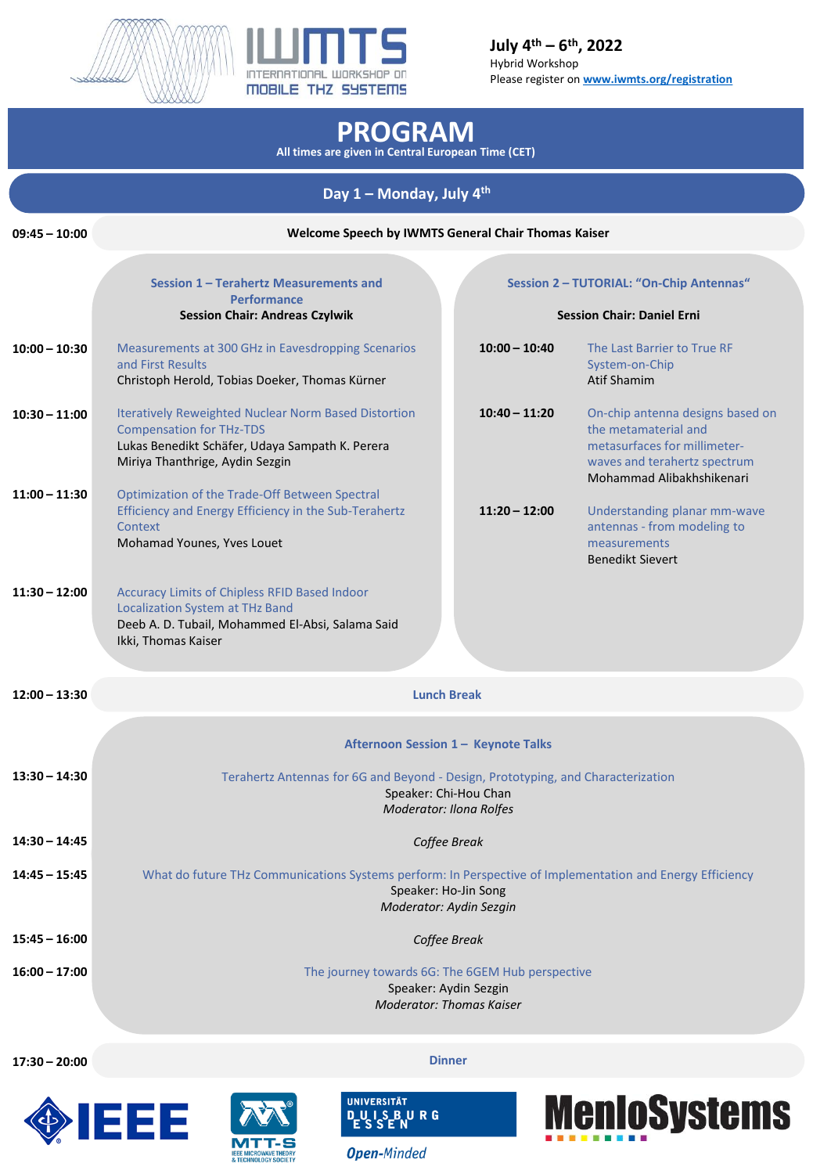



**July 4 th – 6 th, 2022** Hybrid Workshop Please register on **[www.iwmts.org/registration](http://www.iwmts.org/registration)**

## **PROGRAM**

**All times are given in Central European Time (CET)**

## **Day 1 – Monday, July 4 th**

| $09:45 - 10:00$ | Welcome Speech by IWMTS General Chair Thomas Kaiser                                                                                                                                  |                 |                                                                                                                                                       |  |  |
|-----------------|--------------------------------------------------------------------------------------------------------------------------------------------------------------------------------------|-----------------|-------------------------------------------------------------------------------------------------------------------------------------------------------|--|--|
|                 | Session 1 - Terahertz Measurements and                                                                                                                                               |                 | Session 2 - TUTORIAL: "On-Chip Antennas"                                                                                                              |  |  |
|                 | <b>Performance</b>                                                                                                                                                                   |                 |                                                                                                                                                       |  |  |
|                 | <b>Session Chair: Andreas Czylwik</b>                                                                                                                                                |                 | <b>Session Chair: Daniel Erni</b>                                                                                                                     |  |  |
| $10:00 - 10:30$ | Measurements at 300 GHz in Eavesdropping Scenarios<br>and First Results<br>Christoph Herold, Tobias Doeker, Thomas Kürner                                                            | $10:00 - 10:40$ | The Last Barrier to True RF<br>System-on-Chip<br><b>Atif Shamim</b>                                                                                   |  |  |
| $10:30 - 11:00$ | <b>Iteratively Reweighted Nuclear Norm Based Distortion</b><br><b>Compensation for THz-TDS</b><br>Lukas Benedikt Schäfer, Udaya Sampath K. Perera<br>Miriya Thanthrige, Aydin Sezgin | $10:40 - 11:20$ | On-chip antenna designs based on<br>the metamaterial and<br>metasurfaces for millimeter-<br>waves and terahertz spectrum<br>Mohammad Alibakhshikenari |  |  |
| $11:00 - 11:30$ | Optimization of the Trade-Off Between Spectral<br>Efficiency and Energy Efficiency in the Sub-Terahertz<br>Context<br>Mohamad Younes, Yves Louet                                     | $11:20 - 12:00$ | Understanding planar mm-wave<br>antennas - from modeling to<br>measurements<br><b>Benedikt Sievert</b>                                                |  |  |
| $11:30 - 12:00$ | Accuracy Limits of Chipless RFID Based Indoor<br><b>Localization System at THz Band</b><br>Deeb A. D. Tubail, Mohammed El-Absi, Salama Said<br>Ikki, Thomas Kaiser                   |                 |                                                                                                                                                       |  |  |
| $12:00 - 13:30$ | <b>Lunch Break</b>                                                                                                                                                                   |                 |                                                                                                                                                       |  |  |
|                 | Afternoon Session 1 - Keynote Talks                                                                                                                                                  |                 |                                                                                                                                                       |  |  |
| $13:30 - 14:30$ | Terahertz Antennas for 6G and Beyond - Design, Prototyping, and Characterization<br>Speaker: Chi-Hou Chan<br><b>Moderator: Ilona Rolfes</b>                                          |                 |                                                                                                                                                       |  |  |
| $14:30 - 14:45$ | Coffee Break                                                                                                                                                                         |                 |                                                                                                                                                       |  |  |
| $14:45 - 15:45$ | What do future THz Communications Systems perform: In Perspective of Implementation and Energy Efficiency<br>Speaker: Ho-Jin Song<br>Moderator: Aydin Sezgin                         |                 |                                                                                                                                                       |  |  |
| $15:45 - 16:00$ | Coffee Break                                                                                                                                                                         |                 |                                                                                                                                                       |  |  |
| 16:00 - 17:00   | The journey towards 6G: The 6GEM Hub perspective<br>Speaker: Aydin Sezgin<br><b>Moderator: Thomas Kaiser</b>                                                                         |                 |                                                                                                                                                       |  |  |

**17:30 – 20:00**

**Dinner**









**Open-Minded**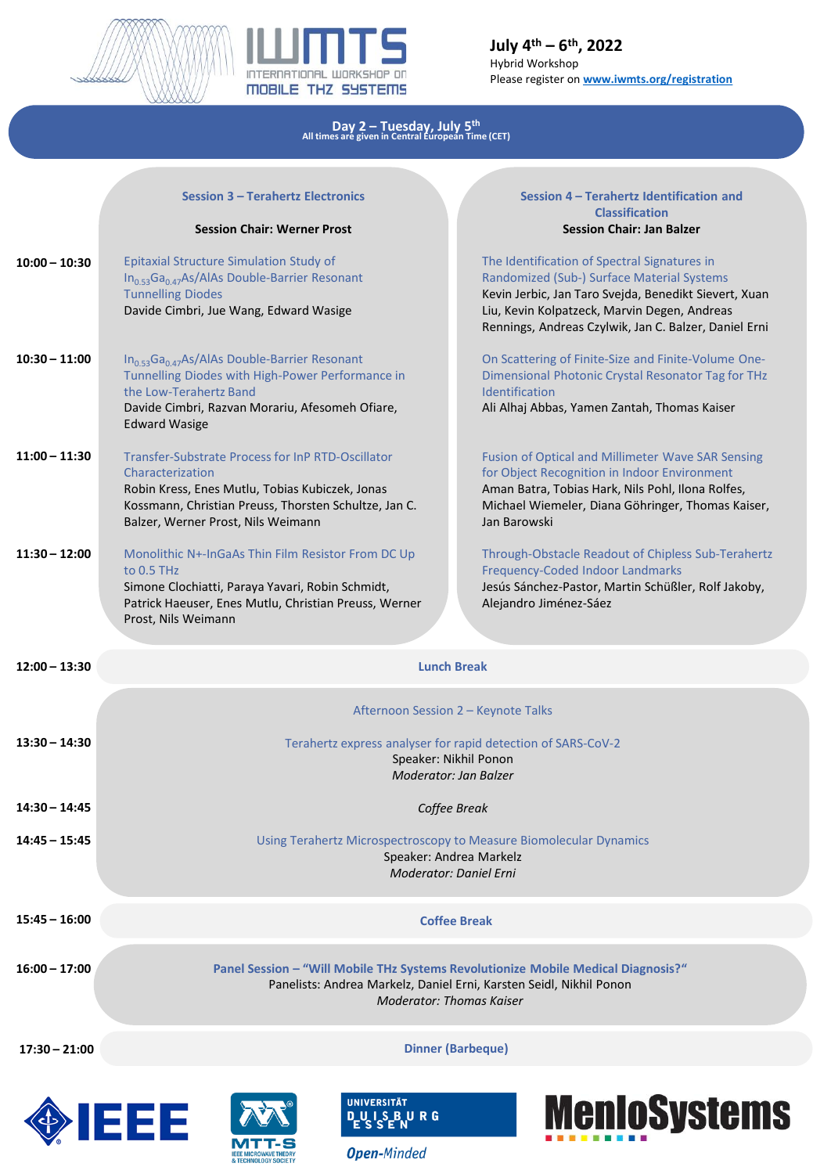



## **Day 2 – Tuesday, July 5 th All times are given in Central European Time (CET)**

|                 | <b>Session 3 - Terahertz Electronics</b><br><b>Session Chair: Werner Prost</b>                                                                                                                                          | Session 4 - Terahertz Identification and<br><b>Classification</b><br><b>Session Chair: Jan Balzer</b>                                                                                                                                                        |  |  |  |
|-----------------|-------------------------------------------------------------------------------------------------------------------------------------------------------------------------------------------------------------------------|--------------------------------------------------------------------------------------------------------------------------------------------------------------------------------------------------------------------------------------------------------------|--|--|--|
| $10:00 - 10:30$ | Epitaxial Structure Simulation Study of<br>$In_{0.53}Ga_{0.47}As/AlAs Double-Barrier Resonant$<br><b>Tunnelling Diodes</b><br>Davide Cimbri, Jue Wang, Edward Wasige                                                    | The Identification of Spectral Signatures in<br>Randomized (Sub-) Surface Material Systems<br>Kevin Jerbic, Jan Taro Svejda, Benedikt Sievert, Xuan<br>Liu, Kevin Kolpatzeck, Marvin Degen, Andreas<br>Rennings, Andreas Czylwik, Jan C. Balzer, Daniel Erni |  |  |  |
| $10:30 - 11:00$ | $In0.53Ga0.47As/AlAs Double-Barrier Resonant$<br>Tunnelling Diodes with High-Power Performance in<br>the Low-Terahertz Band<br>Davide Cimbri, Razvan Morariu, Afesomeh Ofiare,<br><b>Edward Wasige</b>                  | On Scattering of Finite-Size and Finite-Volume One-<br>Dimensional Photonic Crystal Resonator Tag for THz<br>Identification<br>Ali Alhaj Abbas, Yamen Zantah, Thomas Kaiser                                                                                  |  |  |  |
| $11:00 - 11:30$ | Transfer-Substrate Process for InP RTD-Oscillator<br>Characterization<br>Robin Kress, Enes Mutlu, Tobias Kubiczek, Jonas<br>Kossmann, Christian Preuss, Thorsten Schultze, Jan C.<br>Balzer, Werner Prost, Nils Weimann | <b>Fusion of Optical and Millimeter Wave SAR Sensing</b><br>for Object Recognition in Indoor Environment<br>Aman Batra, Tobias Hark, Nils Pohl, Ilona Rolfes,<br>Michael Wiemeler, Diana Göhringer, Thomas Kaiser,<br>Jan Barowski                           |  |  |  |
| $11:30 - 12:00$ | Monolithic N+-InGaAs Thin Film Resistor From DC Up<br>to $0.5$ THz<br>Simone Clochiatti, Paraya Yavari, Robin Schmidt,<br>Patrick Haeuser, Enes Mutlu, Christian Preuss, Werner<br>Prost, Nils Weimann                  | Through-Obstacle Readout of Chipless Sub-Terahertz<br>Frequency-Coded Indoor Landmarks<br>Jesús Sánchez-Pastor, Martin Schüßler, Rolf Jakoby,<br>Alejandro Jiménez-Sáez                                                                                      |  |  |  |
| $12:00 - 13:30$ |                                                                                                                                                                                                                         | <b>Lunch Break</b>                                                                                                                                                                                                                                           |  |  |  |
|                 | Afternoon Session 2 - Keynote Talks                                                                                                                                                                                     |                                                                                                                                                                                                                                                              |  |  |  |
| $13:30 - 14:30$ | Terahertz express analyser for rapid detection of SARS-CoV-2<br>Speaker: Nikhil Ponon<br>Moderator: Jan Balzer                                                                                                          |                                                                                                                                                                                                                                                              |  |  |  |
| $14:30 - 14:45$ | Coffee Break                                                                                                                                                                                                            |                                                                                                                                                                                                                                                              |  |  |  |
| 14:45 - 15:45   | Using Terahertz Microspectroscopy to Measure Biomolecular Dynamics<br>Speaker: Andrea Markelz<br>Moderator: Daniel Erni                                                                                                 |                                                                                                                                                                                                                                                              |  |  |  |
| $15:45 - 16:00$ | <b>Coffee Break</b>                                                                                                                                                                                                     |                                                                                                                                                                                                                                                              |  |  |  |
| $16:00 - 17:00$ | Panel Session - "Will Mobile THz Systems Revolutionize Mobile Medical Diagnosis?"<br>Panelists: Andrea Markelz, Daniel Erni, Karsten Seidl, Nikhil Ponon<br><b>Moderator: Thomas Kaiser</b>                             |                                                                                                                                                                                                                                                              |  |  |  |
| 17:30 - 21:00   | <b>Dinner (Barbeque)</b>                                                                                                                                                                                                |                                                                                                                                                                                                                                                              |  |  |  |
|                 |                                                                                                                                                                                                                         |                                                                                                                                                                                                                                                              |  |  |  |









**Open-Minded**